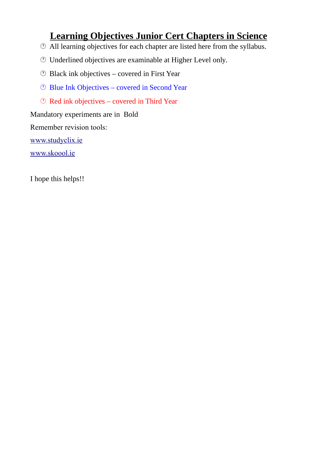# **Learning Objectives Junior Cert Chapters in Science**

- All learning objectives for each chapter are listed here from the syllabus.
- Underlined objectives are examinable at Higher Level only.
- Black ink objectives covered in First Year
- Blue Ink Objectives covered in Second Year
- Red ink objectives covered in Third Year

Mandatory experiments are in Bold

Remember revision tools:

[www.studyclix.ie](http://www.studyclix.ie/)

[www.skoool.ie](http://www.skoool.ie/)

I hope this helps!!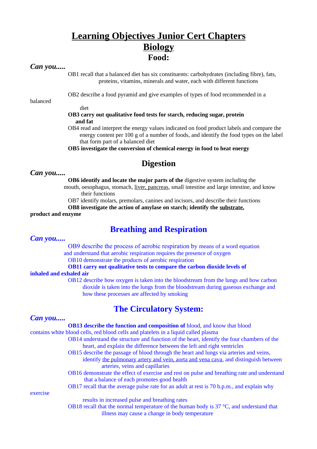# **Learning Objectives Junior Cert Chapters Biology Food:**

## *Can you.....*

OB1 recall that a balanced diet has six constituents: carbohydrates (including fibre), fats, proteins, vitamins, minerals and water, each with different functions

balanced

OB2 describe a food pyramid and give examples of types of food recommended in a

diet

### **OB3 carry out qualitative food tests for starch, reducing sugar, protein and fat**

OB4 read and interpret the energy values indicated on food product labels and compare the energy content per 100 g of a number of foods, and identify the food types on the label that form part of a balanced diet

**OB5 investigate the conversion of chemical energy in food to heat energy**

# **Digestion**

### *Can you.....*

**OB6 identify and locate the major parts of the** digestive system including the

 mouth, oesophagus, stomach, liver, pancreas, small intestine and large intestine, and know their functions

OB7 identify molars, premolars, canines and incisors, and describe their functions

**OB8 investigate the action of amylase on starch; identify the substrate,** 

### **product and enzyme**

# **Breathing and Respiration**

### *Can you.....*

OB9 describe the process of aerobic respiration by means of a word equation and understand that aerobic respiration requires the presence of oxygen

OB10 demonstrate the products of aerobic respiration

## **OB11 carry out qualitative tests to compare the carbon dioxide levels of**

#### **inhaled and exhaled air**

OB12 describe how oxygen is taken into the bloodstream from the lungs and how carbon dioxide is taken into the lungs from the bloodstream during gaseous exchange and how these processes are affected by smoking

# **The Circulatory System:**

## *Can you.....*

#### **OB13 describe the function and composition of** blood, and know that blood

contains white blood cells, red blood cells and platelets in a liquid called plasma

- OB14 understand the structure and function of the heart, identify the four chambers of the heart, and explain the difference between the left and right ventricles
	- OB15 describe the passage of blood through the heart and lungs via arteries and veins,
		- identify the pulmonary artery and vein, aorta and vena cava, and distinguish between arteries, veins and capillaries
	- OB16 demonstrate the effect of exercise and rest on pulse and breathing rate and understand that a balance of each promotes good health
	- OB17 recall that the average pulse rate for an adult at rest is 70 b.p.m., and explain why

exercise

results in increased pulse and breathing rates

OB18 recall that the normal temperature of the human body is 37 °C, and understand that illness may cause a change in body temperature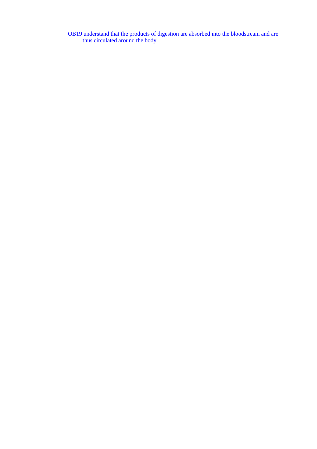OB19 understand that the products of digestion are absorbed into the bloodstream and are thus circulated around the body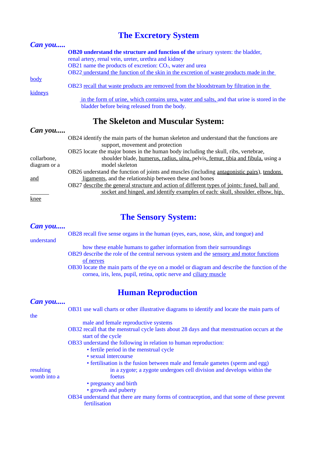# **The Excretory System**

| <b>Can</b> you                                              |                                                                                                                                             |  |
|-------------------------------------------------------------|---------------------------------------------------------------------------------------------------------------------------------------------|--|
|                                                             | <b>OB20</b> understand the structure and function of the urinary system: the bladder,                                                       |  |
|                                                             | renal artery, renal vein, ureter, urethra and kidney                                                                                        |  |
| OB21 name the products of excretion: $CO2$ , water and urea |                                                                                                                                             |  |
|                                                             | OB22 understand the function of the skin in the excretion of waste products made in the                                                     |  |
| body                                                        | OB23 recall that waste products are removed from the bloodstream by filtration in the                                                       |  |
| kidneys                                                     |                                                                                                                                             |  |
|                                                             | in the form of urine, which contains urea, water and salts, and that urine is stored in the<br>bladder before being released from the body. |  |

# **The Skeleton and Muscular System:**

| Can you      |                                                                                              |
|--------------|----------------------------------------------------------------------------------------------|
|              | OB24 identify the main parts of the human skeleton and understand that the functions are     |
|              | support, movement and protection                                                             |
|              | OB25 locate the major bones in the human body including the skull, ribs, vertebrae,          |
| collarbone,  | shoulder blade, humerus, radius, ulna, pelvis, femur, tibia and fibula, using a              |
| diagram or a | model skeleton                                                                               |
|              | OB26 understand the function of joints and muscles (including antagonistic pairs), tendons   |
| and          | ligaments, and the relationship between these and bones                                      |
|              | OB27 describe the general structure and action of different types of joints: fused, ball and |
|              | socket and hinged, and identify examples of each: skull, shoulder, elbow, hip,               |
| knee         |                                                                                              |

# **The Sensory System:**

## *Can you.....*

OB28 recall five sense organs in the human (eyes, ears, nose, skin, and tongue) and

understand

how these enable humans to gather information from their surroundings

- OB29 describe the role of the central nervous system and the sensory and motor functions of nerves
- OB30 locate the main parts of the eye on a model or diagram and describe the function of the cornea, iris, lens, pupil, retina, optic nerve and ciliary muscle

# **Human Reproduction**

| Can you     |                                                                                                                    |
|-------------|--------------------------------------------------------------------------------------------------------------------|
|             | OB31 use wall charts or other illustrative diagrams to identify and locate the main parts of                       |
| the         |                                                                                                                    |
|             | male and female reproductive systems                                                                               |
|             | OB32 recall that the menstrual cycle lasts about 28 days and that menstruation occurs at the<br>start of the cycle |
|             | OB33 understand the following in relation to human reproduction:                                                   |
|             | • fertile period in the menstrual cycle                                                                            |
|             | • sexual intercourse                                                                                               |
|             | • fertilisation is the fusion between male and female gametes (sperm and egg)                                      |
| resulting   | in a zygote; a zygote undergoes cell division and develops within the                                              |
| womb into a | foetus                                                                                                             |
|             | • pregnancy and birth                                                                                              |
|             | • growth and puberty                                                                                               |
|             | OB34 understand that there are many forms of contraception, and that some of these prevent                         |
|             | fertilisation                                                                                                      |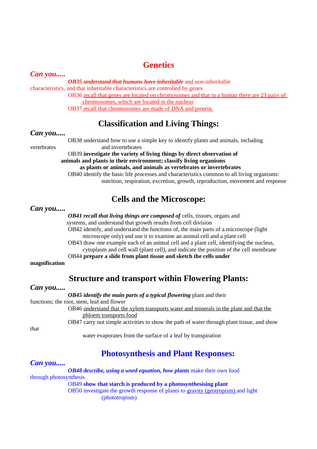# **Genetics**

*Can you.....*

*OB35 understand that humans have inheritable* and non-inheritable characteristics, and that inheritable characteristics are controlled by genes OB36 recall that genes are located on chromosomes and that in a human there are 23 pairs of chromosomes, which are located in the nucleus OB37 recall that chromosomes are made of DNA and protein.

# **Classification and Living Things:**

*Can you.....*

OB38 understand how to use a simple key to identify plants and animals, including vertebrates and invertebrates

> OB39 **investigate the variety of living things by direct observation of animals and plants in their environment; classify living organisms as plants or animals, and animals as vertebrates or invertebrates** OB40 identify the basic life processes and characteristics common to all living organisms: nutrition, respiration, excretion, growth, reproduction, movement and response

# **Cells and the Microscope:**

*Can you.....*

*OB41 recall that living things are composed of cells, tissues, organs and* 

systems, and understand that growth results from cell division

OB42 identify, and understand the functions of, the main parts of a microscope (light microscope only) and use it to examine an animal cell and a plant cell

OB43 draw one example each of an animal cell and a plant cell, identifying the nucleus, cytoplasm and cell wall (plant cell), and indicate the position of the cell membrane

OB44 **prepare a slide from plant tissue and sketch the cells under** 

**magnification**

# **Structure and transport within Flowering Plants:**

## *Can you.....*

*OB45 identify the main parts of a typical flowering* plant and their

functions; the root, stem, leaf and flower

OB46 understand that the xylem transports water and minerals in the plant and that the phloem transports food

OB47 carry out simple activities to show the path of water through plant tissue, and show

that

water evaporates from the surface of a leaf by transpiration

# **Photosynthesis and Plant Responses:**

## *Can you.....*

*OB48 describe, using a word equation, how plants make their own food* through photosynthesis OB49 **show that starch is produced by a photosynthesising plant** OB50 investigate the growth response of plants to gravity (geotropism) and light (phototropism)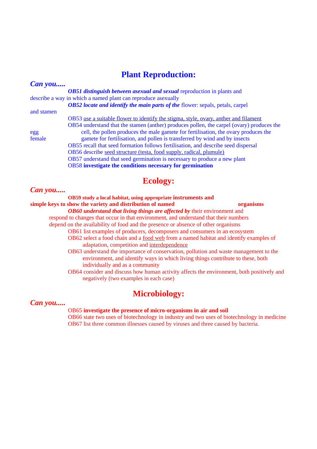# **Plant Reproduction:**

| Can you    |                                                                                           |
|------------|-------------------------------------------------------------------------------------------|
|            | <b>OB51</b> distinguish between asexual and sexual reproduction in plants and             |
|            | describe a way in which a named plant can reproduce as exually                            |
|            | <b>OB52</b> locate and identify the main parts of the flower: sepals, petals, carpel      |
| and stamen |                                                                                           |
|            | OB53 use a suitable flower to identify the stigma, style, ovary, anther and filament      |
|            | OB54 understand that the stamen (anther) produces pollen, the carpel (ovary) produces the |
| egg        | cell, the pollen produces the male gamete for fertilisation, the ovary produces the       |
| female     | gamete for fertilisation, and pollen is transferred by wind and by insects                |
|            | OB55 recall that seed formation follows fertilisation, and describe seed dispersal        |
|            | OB56 describe seed structure (testa, food supply, radical, plumule)                       |
|            | OB57 understand that seed germination is necessary to produce a new plant                 |
|            | OB58 investigate the conditions necessary for germination                                 |

# **Ecology:**

## *Can you.....*

**OB59 study a local habitat, using appropriate instruments and simple keys to show the variety and distribution of named organisms** *OB60 understand that living things are affected by* their environment and respond to changes that occur in that environment, and understand that their numbers depend on the availability of food and the presence or absence of other organisms OB61 list examples of producers, decomposers and consumers in an ecosystem OB62 select a food chain and a food web from a named habitat and identify examples of adaptation, competition and interdependence OB63 understand the importance of conservation, pollution and waste management to the environment, and identify ways in which living things contribute to these, both individually and as a community OB64 consider and discuss how human activity affects the environment, both positively and

# **Microbiology:**

### *Can you.....*

#### OB65 **investigate the presence of micro-organisms in air and soil**

negatively (two examples in each case)

OB66 state two uses of biotechnology in industry and two uses of biotechnology in medicine OB67 list three common illnesses caused by viruses and three caused by bacteria.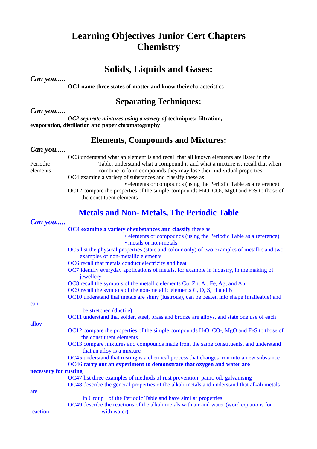# **Learning Objectives Junior Cert Chapters Chemistry**

# **Solids, Liquids and Gases:**

*Can you.....*

**OC1** name three states of matter and know their characteristics

# **Separating Techniques:**

*Can you.....*

*OC2 separate mixtures using a variety of* **techniques: filtration, evaporation, distillation and paper chromatography**

# **Elements, Compounds and Mixtures:**

## *Can you.....*

OC3 understand what an element is and recall that all known elements are listed in the Periodic Table; understand what a compound is and what a mixture is; recall that when elements combine to form compounds they may lose their individual properties OC4 examine a variety of substances and classify these as

• elements or compounds (using the Periodic Table as a reference) OC12 compare the properties of the simple compounds H<sub>2</sub>O, CO<sub>2</sub>, MgO and FeS to those of the constituent elements

# **Metals and Non- Metals, The Periodic Table**

| Can you               |                                                                                                                                   |
|-----------------------|-----------------------------------------------------------------------------------------------------------------------------------|
|                       | OC4 examine a variety of substances and classify these as                                                                         |
|                       | • elements or compounds (using the Periodic Table as a reference)                                                                 |
|                       | • metals or non-metals                                                                                                            |
|                       | OC5 list the physical properties (state and colour only) of two examples of metallic and two<br>examples of non-metallic elements |
|                       | OC6 recall that metals conduct electricity and heat                                                                               |
|                       | OC7 identify everyday applications of metals, for example in industry, in the making of<br>jewellery                              |
|                       | OC8 recall the symbols of the metallic elements Cu, Zn, Al, Fe, Ag, and Au                                                        |
|                       | OC9 recall the symbols of the non-metallic elements C, O, S, H and N                                                              |
|                       | OC10 understand that metals are shiny (lustrous), can be beaten into shape (malleable) and                                        |
| can                   |                                                                                                                                   |
|                       | be stretched (ductile)                                                                                                            |
|                       | OC11 understand that solder, steel, brass and bronze are alloys, and state one use of each                                        |
| alloy                 |                                                                                                                                   |
|                       | $OC12$ compare the properties of the simple compounds $H_2O$ , $CO_2$ , $MgO$ and FeS to those of<br>the constituent elements     |
|                       | OC13 compare mixtures and compounds made from the same constituents, and understand<br>that an alloy is a mixture                 |
|                       | OC45 understand that rusting is a chemical process that changes iron into a new substance                                         |
|                       | OC46 carry out an experiment to demonstrate that oxygen and water are                                                             |
| necessary for rusting |                                                                                                                                   |
|                       | OC47 list three examples of methods of rust prevention: paint, oil, galvanising                                                   |
|                       | OC48 describe the general properties of the alkali metals and understand that alkali metals                                       |
| are                   |                                                                                                                                   |
|                       | in Group I of the Periodic Table and have similar properties                                                                      |
|                       | OC49 describe the reactions of the alkali metals with air and water (word equations for                                           |
| reaction              | with water)                                                                                                                       |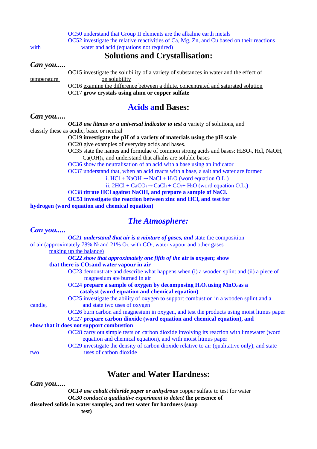OC50 understand that Group II elements are the alkaline earth metals OC52 investigate the relative reactivities of Ca, Mg, Zn, and Cu based on their reactions with water and acid (equations not required)

## **Solutions and Crystallisation:**

## *Can you.....*

OC15 investigate the solubility of a variety of substances in water and the effect of temperature on solubility OC16 examine the difference between a dilute, concentrated and saturated solution

OC17 **grow crystals using alum or copper sulfate**

## **Acids and Bases:**

## *Can you.....*

*OC18 use litmus or a universal indicator to test a* variety of solutions, and classify these as acidic, basic or neutral

OC19 **investigate the pH of a variety of materials using the pH scale**

OC20 give examples of everyday acids and bases.

OC35 state the names and formulae of common strong acids and bases:  $H_2SO_4$ , Hcl, NaOH, Ca(OH)2, and understand that alkalis are soluble bases

OC36 show the neutralisation of an acid with a base using an indicator

OC37 understand that, when an acid reacts with a base, a salt and water are formed

i.  $HCl + NaOH \rightarrow NaCl + H_2O$  (word equation O.L.)

ii.  $2HCl + CaCO<sub>3</sub> \rightarrow CaCl<sub>2</sub> + CO<sub>2</sub> + H<sub>2</sub>O$  (word equation O.L.)

OC38 **titrate HCl against NaOH, and prepare a sample of NaCl.**

**OC51 investigate the reaction between zinc and HCl, and test for** 

**hydrogen (word equation and chemical equation)**

# *The Atmosphere:*

| Can you                                                                                    |                                                                                              |
|--------------------------------------------------------------------------------------------|----------------------------------------------------------------------------------------------|
| <b>OC21</b> understand that air is a mixture of gases, and state the composition           |                                                                                              |
| of air (approximately 78% $N_2$ and 21% $O_2$ , with $CO_2$ , water vapour and other gases |                                                                                              |
| making up the balance)                                                                     |                                                                                              |
| OC22 show that approximately one fifth of the air is oxygen; show                          |                                                                                              |
| that there is CO <sub>2</sub> and water vapour in air                                      |                                                                                              |
| magnesium are burned in air                                                                | OC23 demonstrate and describe what happens when (i) a wooden splint and (ii) a piece of      |
| OC24 prepare a sample of oxygen by decomposing $H_2O_2$ using MnO <sub>2</sub> as a        |                                                                                              |
| catalyst (word equation and chemical equation)                                             |                                                                                              |
| OC25 investigate the ability of oxygen to support combustion in a wooden splint and a      |                                                                                              |
| and state two uses of oxygen<br>candle,                                                    |                                                                                              |
|                                                                                            | OC26 burn carbon and magnesium in oxygen, and test the products using moist litmus paper     |
| OC27 prepare carbon dioxide (word equation and chemical equation), and                     |                                                                                              |
| show that it does not support combustion                                                   |                                                                                              |
| equation and chemical equation), and with moist litmus paper                               | OC28 carry out simple tests on carbon dioxide involving its reaction with limewater (word    |
|                                                                                            | OC29 investigate the density of carbon dioxide relative to air (qualitative only), and state |
| uses of carbon dioxide<br>two                                                              |                                                                                              |

# **Water and Water Hardness:**

*Can you.....*

*OC14 use cobalt chloride paper or anhydrous* copper sulfate to test for water *OC30 conduct a qualitative experiment to detect* **the presence of dissolved solids in water samples, and test water for hardness (soap**

 **test)**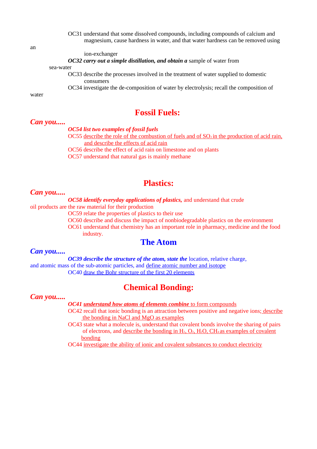OC31 understand that some dissolved compounds, including compounds of calcium and magnesium, cause hardness in water, and that water hardness can be removed using

ion-exchanger

*OC32 carry out a simple distillation, and obtain a* sample of water from

sea-water

OC33 describe the processes involved in the treatment of water supplied to domestic consumers

OC34 investigate the de-composition of water by electrolysis; recall the composition of

water

## **Fossil Fuels:**

## *Can you.....*

*OC54 list two examples of fossil fuels* 

OC55 describe the role of the combustion of fuels and of  $SO<sub>2</sub>$  in the production of acid rain, and describe the effects of acid rain

OC56 describe the effect of acid rain on limestone and on plants

OC57 understand that natural gas is mainly methane

## **Plastics:**

#### *Can you.....*

*OC58 identify everyday applications of plastics,* and understand that crude

oil products are the raw material for their production

OC59 relate the properties of plastics to their use

OC60 describe and discuss the impact of nonbiodegradable plastics on the environment

OC61 understand that chemistry has an important role in pharmacy, medicine and the food industry.

## **The Atom**

#### *Can you.....*

*OC39 describe the structure of the atom, state the location, relative charge,* and atomic mass of the sub-atomic particles, and define atomic number and isotope OC40 draw the Bohr structure of the first 20 elements

## **Chemical Bonding:**

### *Can you.....*

*OC41 understand how atoms of elements combine* to form compounds

OC42 recall that ionic bonding is an attraction between positive and negative ions; describe the bonding in NaCl and MgO as examples

OC43 state what a molecule is, understand that covalent bonds involve the sharing of pairs of electrons, and describe the bonding in  $H_2$ ,  $O_2$ ,  $H_2O$ ,  $CH_4$  as examples of covalent bonding

OC44 investigate the ability of ionic and covalent substances to conduct electricity

an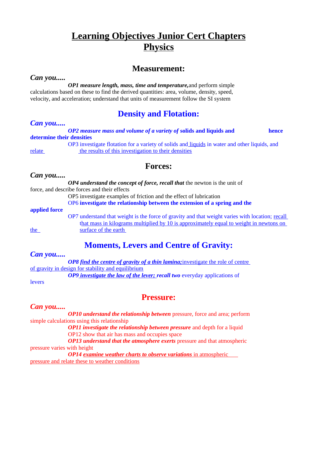# **Learning Objectives Junior Cert Chapters Physics**

## **Measurement:**

### *Can you.....*

*OP1 measure length, mass, time and temperature,*and perform simple calculations based on these to find the derived quantities: area, volume, density, speed, velocity, and acceleration; understand that units of measurement follow the SI system

# **Density and Flotation:**

## *Can you.....*

*OP2 measure mass and volume of a variety of* **solids and liquids and hence determine their densities**

OP3 investigate flotation for a variety of solids and liquids in water and other liquids, and relate the results of this investigation to their densities

## **Forces:**

### *Can you.....*

*OP4 understand the concept of force, recall that* the newton is the unit of force, and describe forces and their effects OP5 investigate examples of friction and the effect of lubrication

OP6 **investigate the relationship between the extension of a spring and the** 

#### **applied force**

OP7 understand that weight is the force of gravity and that weight varies with location; recall that mass in kilograms multiplied by 10 is approximately equal to weight in newtons on the surface of the earth

# **Moments, Levers and Centre of Gravity:**

## *Can you.....*

*OP8 find the centre of gravity of a thin lamina; investigate the role of centre* of gravity in design for stability and equilibrium

*OP9 investigate the law of the lever; recall two everyday applications of* 

levers

# **Pressure:**

## *Can you.....*

*OP10 understand the relationship between* pressure, force and area; perform simple calculations using this relationship

*OP11 investigate the relationship between pressure* and depth for a liquid OP12 show that air has mass and occupies space

*OP13 understand that the atmosphere exerts pressure and that atmospheric* pressure varies with height

*OP14 examine weather charts to observe variations* in atmospheric pressure and relate these to weather conditions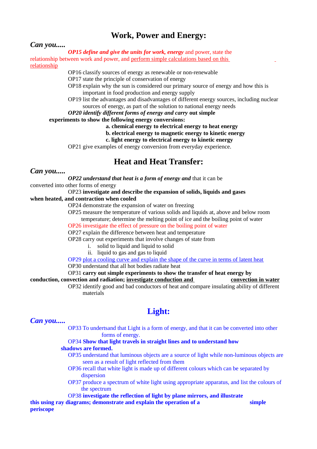# **Work, Power and Energy:**

## *Can you.....*

*OP15 define and give the units for work, energy* and power, state the relationship between work and power, and perform simple calculations based on this relationship

OP16 classify sources of energy as renewable or non-renewable

OP17 state the principle of conservation of energy

- OP18 explain why the sun is considered our primary source of energy and how this is important in food production and energy supply
- OP19 list the advantages and disadvantages of different energy sources, including nuclear sources of energy, as part of the solution to national energy needs

### *OP20 identify different forms of energy and carry* **out simple**

**experiments to show the following energy conversions:**

**a. chemical energy to electrical energy to heat energy**

- **b. electrical energy to magnetic energy to kinetic energy**
- **c. light energy to electrical energy to kinetic energy**

OP21 give examples of energy conversion from everyday experience.

# **Heat and Heat Transfer:**

### *Can you.....*

*OP22 understand that heat is a form of energy and* that it can be

converted into other forms of energy

#### OP23 **investigate and describe the expansion of solids, liquids and gases**

**when heated, and contraction when cooled**

OP24 demonstrate the expansion of water on freezing

OP25 measure the temperature of various solids and liquids at, above and below room

 temperature; determine the melting point of ice and the boiling point of water OP26 investigate the effect of pressure on the boiling point of water

OP27 explain the difference between heat and temperature

OP28 carry out experiments that involve changes of state from

- i. solid to liquid and liquid to solid
- ii. liquid to gas and gas to liquid

OP29 plot a cooling curve and explain the shape of the curve in terms of latent heat

OP30 understand that all hot bodies radiate heat

OP31 **carry out simple experiments to show the transfer of heat energy by conduction, convection and radiation; investigate conduction and convection in water**

OP32 identify good and bad conductors of heat and compare insulating ability of different materials

# **Light:**

## *Can you.....*

OP33 To undertsand that Light is a form of energy, and that it can be converted into other forms of energy.

#### OP34 **Show that light travels in straight lines and to understand how shadows are formed.**

- OP35 understand that luminous objects are a source of light while non-luminous objects are seen as a result of light reflected from them
- OP36 recall that white light is made up of different colours which can be separated by dispersion
- OP37 produce a spectrum of white light using appropriate apparatus, and list the colours of the spectrum

### OP38 **investigate the reflection of light by plane mirrors, and illustrate**

**this using ray diagrams; demonstrate and explain the operation of a simple periscope**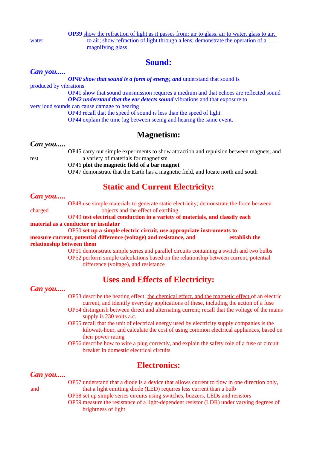**OP39** show the refraction of light as it passes from: air to glass, air to water, glass to air, water to air; show refraction of light through a lens; demonstrate the operation of a magnifying glass

# **Sound:**

## *Can you.....*

*OP40 show that sound is a form of energy, and* understand that sound is produced by vibrations OP41 show that sound transmission requires a medium and that echoes are reflected sound *OP42 understand that the ear detects sound* vibrations and that exposure to very loud sounds can cause damage to hearing OP43 recall that the speed of sound is less than the speed of light OP44 explain the time lag between seeing and hearing the same event.

# **Magnetism:**

## *Can you.....*

OP45 carry out simple experiments to show attraction and repulsion between magnets, and test a variety of materials for magnetism

OP46 **plot the magnetic field of a bar magnet**

OP47 demonstrate that the Earth has a magnetic field, and locate north and south

# **Static and Current Electricity:**

## *Can you.....*

OP48 use simple materials to generate static electricity; demonstrate the force between charged objects and the effect of earthing OP49 **test electrical conduction in a variety of materials, and classify each** 

**material as a conductor or insulator**

OP50 **set up a simple electric circuit, use appropriate instruments to measure current, potential difference (voltage) and resistance, and establish the relationship between them**

> OP51 demonstrate simple series and parallel circuits containing a switch and two bulbs OP52 perform simple calculations based on the relationship between current, potential difference (voltage), and resistance

# **Uses and Effects of Electricity:**

*Can you.....*

OP53 describe the heating effect, the chemical effect, and the magnetic effect of an electric current, and identify everyday applications of these, including the action of a fuse

- OP54 distinguish between direct and alternating current; recall that the voltage of the mains supply is 230 volts a.c.
- OP55 recall that the unit of electrical energy used by electricity supply companies is the kilowatt-hour, and calculate the cost of using common electrical appliances, based on their power rating
- OP56 describe how to wire a plug correctly, and explain the safety role of a fuse or circuit breaker in domestic electrical circuits

# **Electronics:**

## *Can you.....*

- 
- OP57 understand that a diode is a device that allows current to flow in one direction only, and that a light emitting diode (LED) requires less current than a bulb
	- OP58 set up simple series circuits using switches, buzzers, LEDs and resistors
	- OP59 measure the resistance of a light-dependent resistor (LDR) under varying degrees of brightness of light